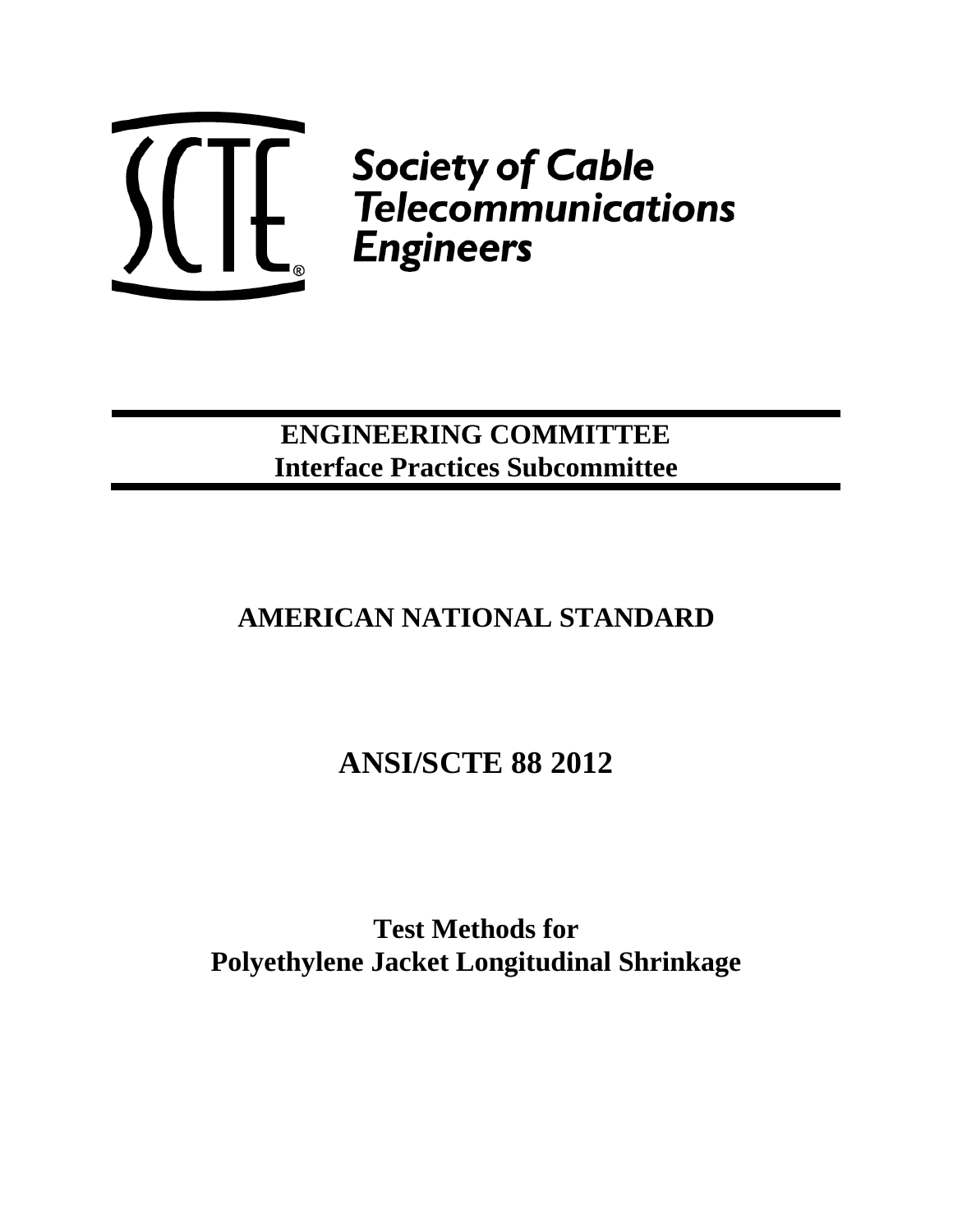

 $\left\{\left\{\left\{\right|\right\}\right\}_{c} \begin{array}{c} \begin{array}{c} \begin{subarray}{c} \text{Society of Cable} \\ \text{Telecommunications} \end{array}\\ \begin{subarray}{c} \text{Engineering} \end{array} \end{array} \end{array}$ 

## **ENGINEERING COMMITTEE Interface Practices Subcommittee**

## **AMERICAN NATIONAL STANDARD**

# **ANSI/SCTE 88 2012**

**Test Methods for Polyethylene Jacket Longitudinal Shrinkage**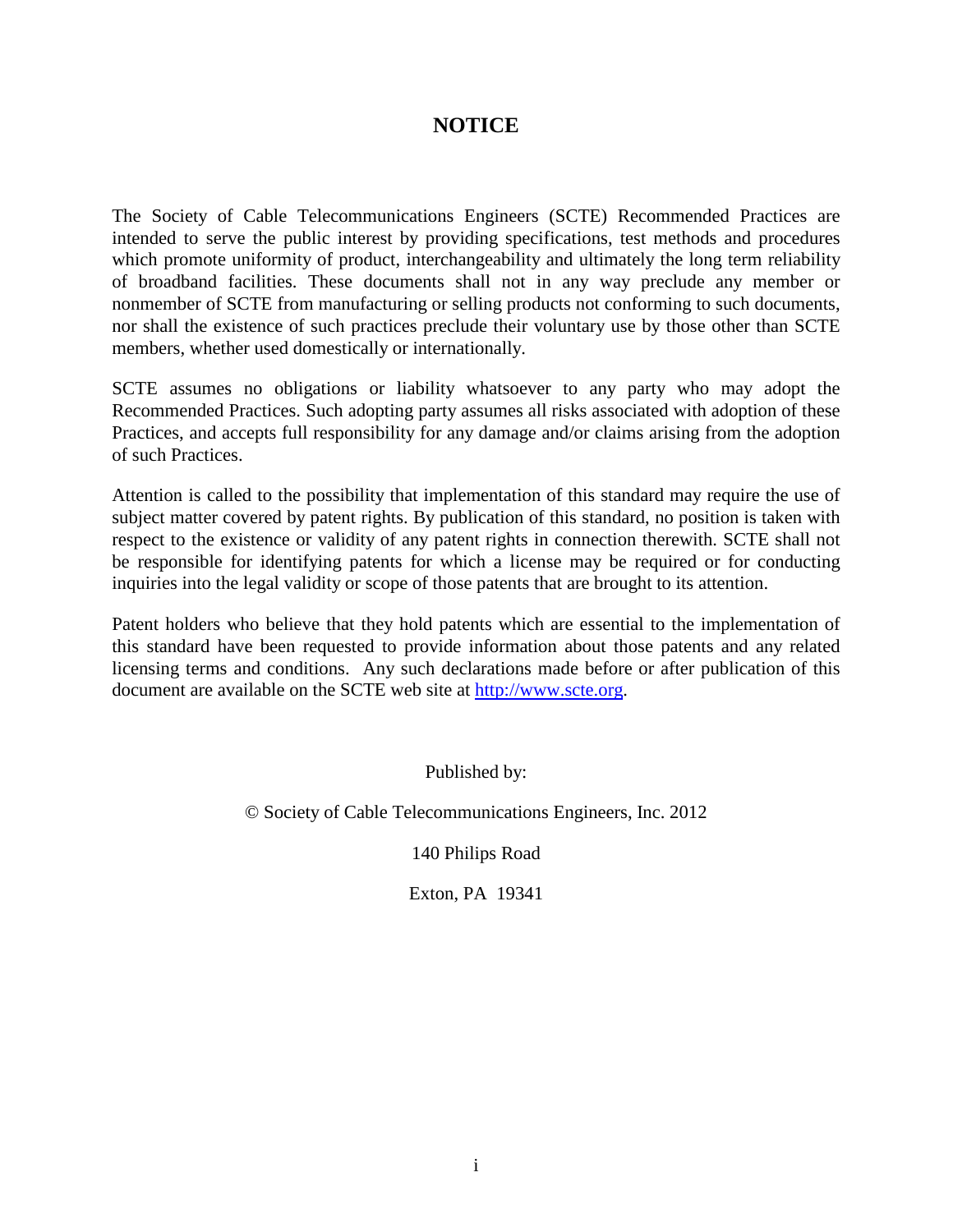### **NOTICE**

The Society of Cable Telecommunications Engineers (SCTE) Recommended Practices are intended to serve the public interest by providing specifications, test methods and procedures which promote uniformity of product, interchangeability and ultimately the long term reliability of broadband facilities. These documents shall not in any way preclude any member or nonmember of SCTE from manufacturing or selling products not conforming to such documents, nor shall the existence of such practices preclude their voluntary use by those other than SCTE members, whether used domestically or internationally.

SCTE assumes no obligations or liability whatsoever to any party who may adopt the Recommended Practices. Such adopting party assumes all risks associated with adoption of these Practices, and accepts full responsibility for any damage and/or claims arising from the adoption of such Practices.

Attention is called to the possibility that implementation of this standard may require the use of subject matter covered by patent rights. By publication of this standard, no position is taken with respect to the existence or validity of any patent rights in connection therewith. SCTE shall not be responsible for identifying patents for which a license may be required or for conducting inquiries into the legal validity or scope of those patents that are brought to its attention.

Patent holders who believe that they hold patents which are essential to the implementation of this standard have been requested to provide information about those patents and any related licensing terms and conditions. Any such declarations made before or after publication of this document are available on the SCTE web site at [http://www.scte.org.](http://www.scte.org/)

Published by:

© Society of Cable Telecommunications Engineers, Inc. 2012

140 Philips Road

Exton, PA 19341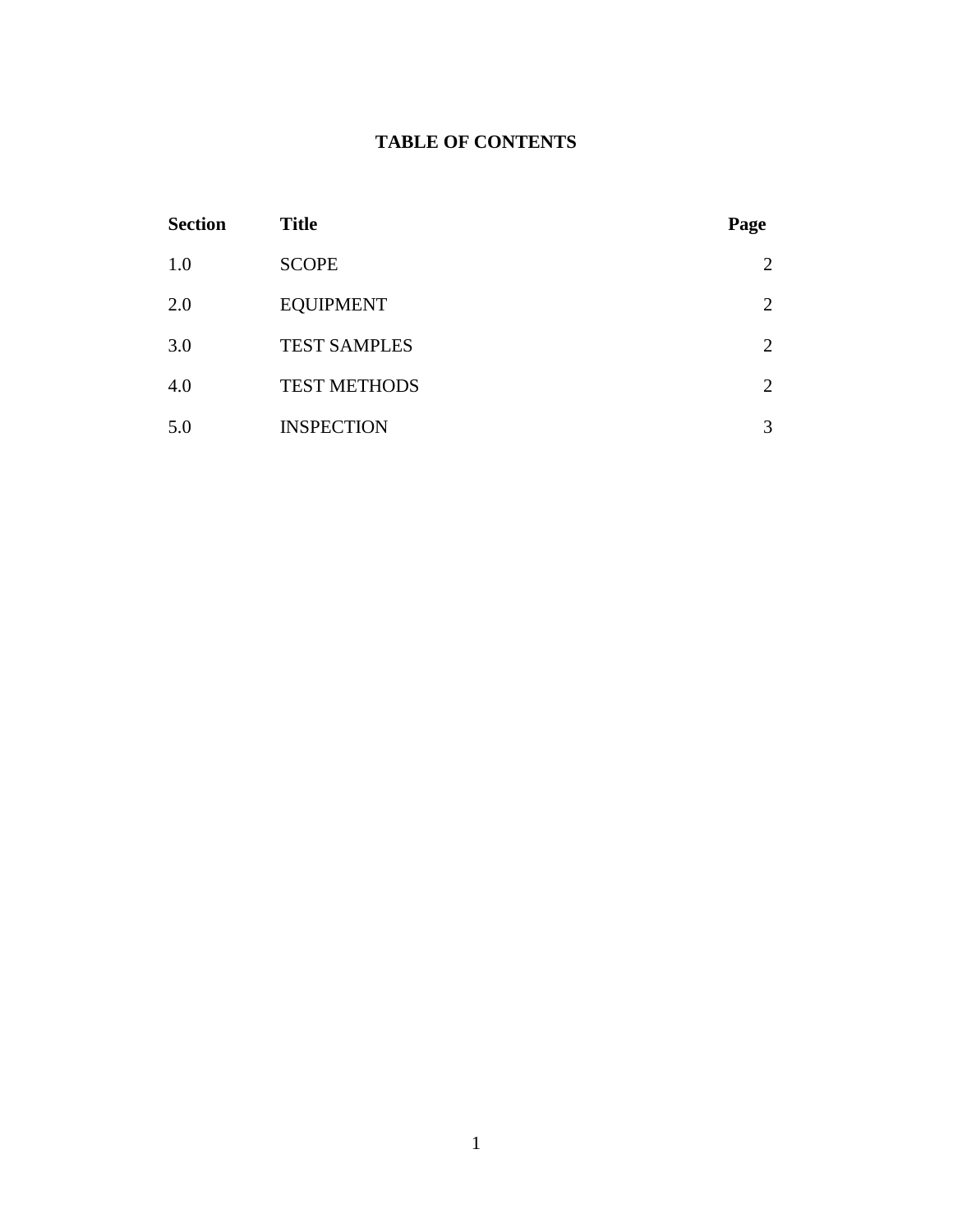### **TABLE OF CONTENTS**

| <b>Section</b> | <b>Title</b>        | Page |
|----------------|---------------------|------|
| 1.0            | <b>SCOPE</b>        | 2    |
| 2.0            | <b>EQUIPMENT</b>    | 2    |
| 3.0            | <b>TEST SAMPLES</b> | 2    |
| 4.0            | <b>TEST METHODS</b> | 2    |
| 5.0            | <b>INSPECTION</b>   | 3    |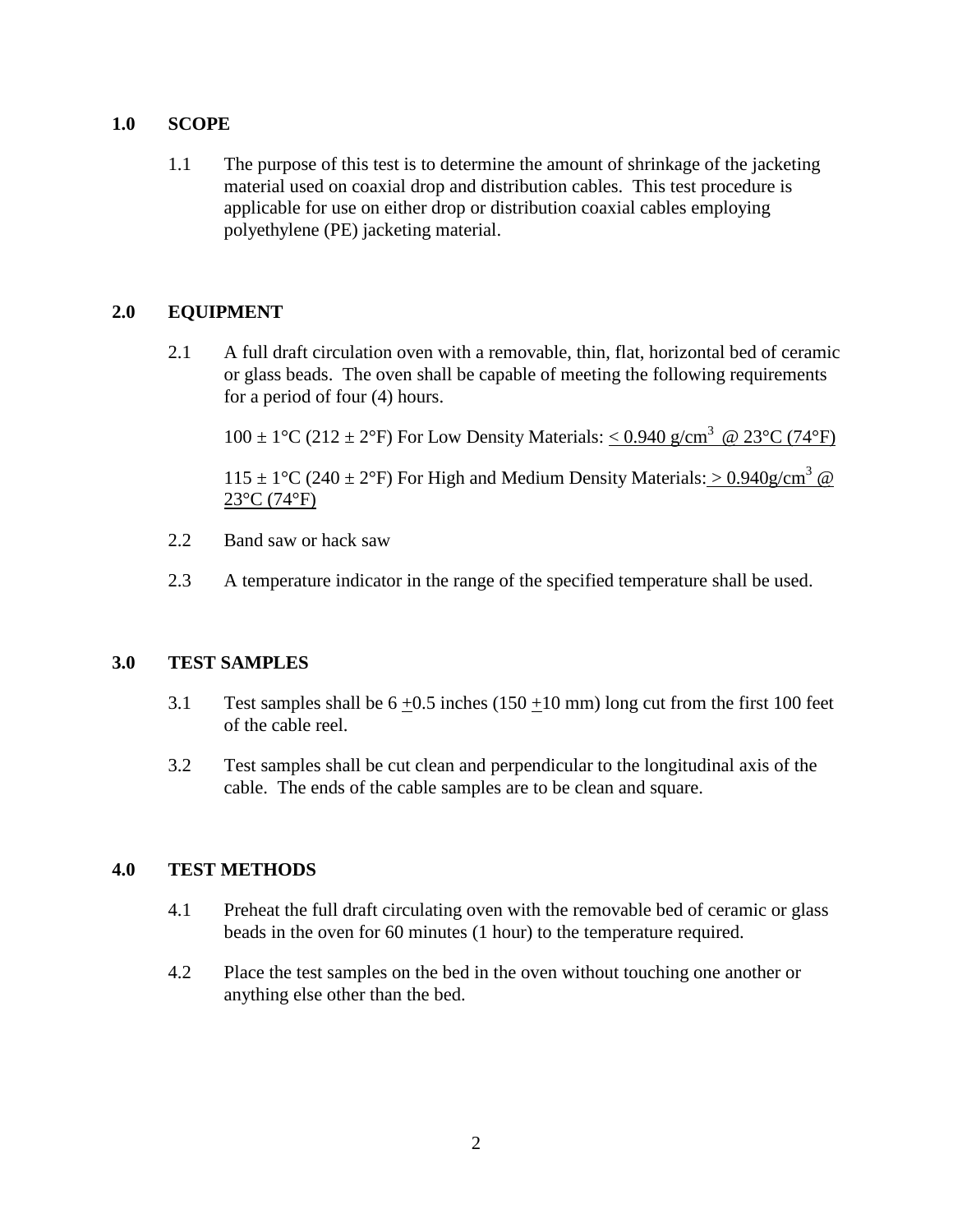#### **1.0 SCOPE**

1.1 The purpose of this test is to determine the amount of shrinkage of the jacketing material used on coaxial drop and distribution cables. This test procedure is applicable for use on either drop or distribution coaxial cables employing polyethylene (PE) jacketing material.

#### **2.0 EQUIPMENT**

2.1 A full draft circulation oven with a removable, thin, flat, horizontal bed of ceramic or glass beads. The oven shall be capable of meeting the following requirements for a period of four (4) hours.

 $100 \pm 1$ °C (212 ± 2°F) For Low Density Materials: < 0.940 g/cm<sup>3</sup> @ 23°C (74°F)

 $115 \pm 1$ °C (240 ± 2°F) For High and Medium Density Materials: > 0.940g/cm<sup>3</sup> @ 23°C (74°F)

- 2.2 Band saw or hack saw
- 2.3 A temperature indicator in the range of the specified temperature shall be used.

#### **3.0 TEST SAMPLES**

- 3.1 Test samples shall be  $6 \pm 0.5$  inches (150  $\pm 10$  mm) long cut from the first 100 feet of the cable reel.
- 3.2 Test samples shall be cut clean and perpendicular to the longitudinal axis of the cable. The ends of the cable samples are to be clean and square.

#### **4.0 TEST METHODS**

- 4.1 Preheat the full draft circulating oven with the removable bed of ceramic or glass beads in the oven for 60 minutes (1 hour) to the temperature required.
- 4.2 Place the test samples on the bed in the oven without touching one another or anything else other than the bed.